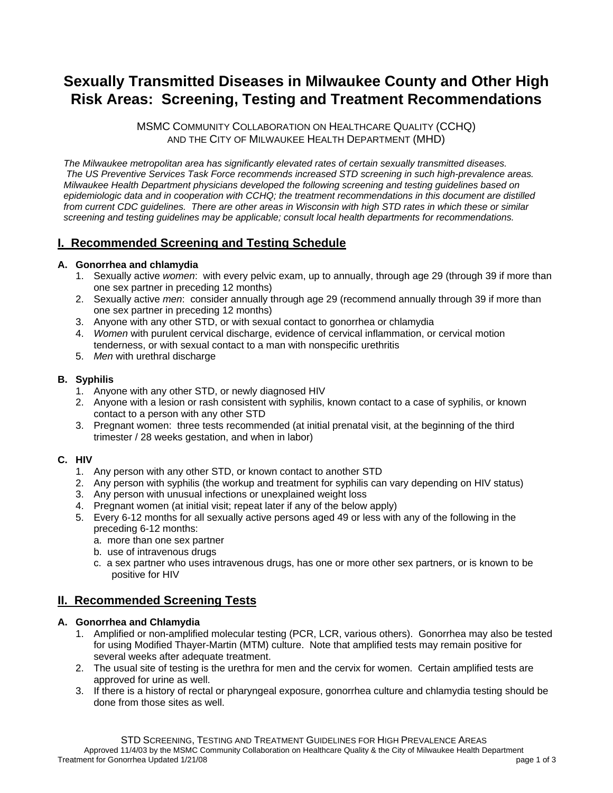# **Sexually Transmitted Diseases in Milwaukee County and Other High Risk Areas: Screening, Testing and Treatment Recommendations**

MSMC COMMUNITY COLLABORATION ON HEALTHCARE QUALITY (CCHQ) AND THE CITY OF MILWAUKEE HEALTH DEPARTMENT (MHD)

*The Milwaukee metropolitan area has significantly elevated rates of certain sexually transmitted diseases. The US Preventive Services Task Force recommends increased STD screening in such high-prevalence areas. Milwaukee Health Department physicians developed the following screening and testing guidelines based on epidemiologic data and in cooperation with CCHQ; the treatment recommendations in this document are distilled from current CDC guidelines. There are other areas in Wisconsin with high STD rates in which these or similar screening and testing guidelines may be applicable; consult local health departments for recommendations.* 

# **I. Recommended Screening and Testing Schedule**

# **A. Gonorrhea and chlamydia**

- 1. Sexually active *women*: with every pelvic exam, up to annually, through age 29 (through 39 if more than one sex partner in preceding 12 months)
- 2. Sexually active *men*: consider annually through age 29 (recommend annually through 39 if more than one sex partner in preceding 12 months)
- 3. Anyone with any other STD, or with sexual contact to gonorrhea or chlamydia
- 4. *Women* with purulent cervical discharge, evidence of cervical inflammation, or cervical motion tenderness, or with sexual contact to a man with nonspecific urethritis
- 5. *Men* with urethral discharge

# **B. Syphilis**

- 1. Anyone with any other STD, or newly diagnosed HIV
- 2. Anyone with a lesion or rash consistent with syphilis, known contact to a case of syphilis, or known contact to a person with any other STD
- 3. Pregnant women: three tests recommended (at initial prenatal visit, at the beginning of the third trimester / 28 weeks gestation, and when in labor)

# **C. HIV**

- 1. Any person with any other STD, or known contact to another STD
- 2. Any person with syphilis (the workup and treatment for syphilis can vary depending on HIV status)
- 3. Any person with unusual infections or unexplained weight loss
- 4. Pregnant women (at initial visit; repeat later if any of the below apply)
- 5. Every 6-12 months for all sexually active persons aged 49 or less with any of the following in the preceding 6-12 months:
	- a. more than one sex partner
	- b. use of intravenous drugs
	- c. a sex partner who uses intravenous drugs, has one or more other sex partners, or is known to be positive for HIV

# **II. Recommended Screening Tests**

# **A. Gonorrhea and Chlamydia**

- 1. Amplified or non-amplified molecular testing (PCR, LCR, various others). Gonorrhea may also be tested for using Modified Thayer-Martin (MTM) culture. Note that amplified tests may remain positive for several weeks after adequate treatment.
- 2. The usual site of testing is the urethra for men and the cervix for women. Certain amplified tests are approved for urine as well.
- 3. If there is a history of rectal or pharyngeal exposure, gonorrhea culture and chlamydia testing should be done from those sites as well.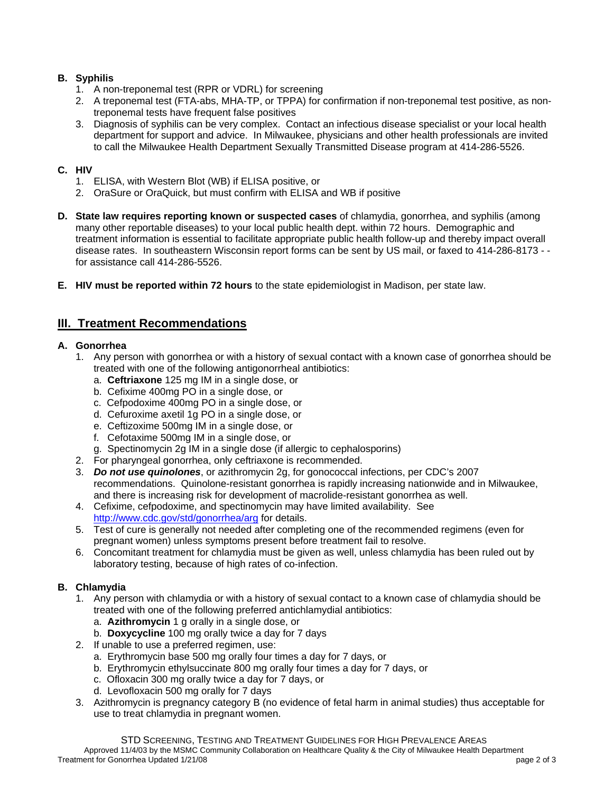# **B. Syphilis**

- 1. A non-treponemal test (RPR or VDRL) for screening
- 2. A treponemal test (FTA-abs, MHA-TP, or TPPA) for confirmation if non-treponemal test positive, as nontreponemal tests have frequent false positives
- 3. Diagnosis of syphilis can be very complex. Contact an infectious disease specialist or your local health department for support and advice. In Milwaukee, physicians and other health professionals are invited to call the Milwaukee Health Department Sexually Transmitted Disease program at 414-286-5526.

# **C. HIV**

- 1. ELISA, with Western Blot (WB) if ELISA positive, or
- 2. OraSure or OraQuick, but must confirm with ELISA and WB if positive
- **D. State law requires reporting known or suspected cases** of chlamydia, gonorrhea, and syphilis (among many other reportable diseases) to your local public health dept. within 72 hours. Demographic and treatment information is essential to facilitate appropriate public health follow-up and thereby impact overall disease rates. In southeastern Wisconsin report forms can be sent by US mail, or faxed to 414-286-8173 - for assistance call 414-286-5526.
- **E. HIV must be reported within 72 hours** to the state epidemiologist in Madison, per state law.

# **III. Treatment Recommendations**

#### **A. Gonorrhea**

- 1. Any person with gonorrhea or with a history of sexual contact with a known case of gonorrhea should be treated with one of the following antigonorrheal antibiotics:
	- a. **Ceftriaxone** 125 mg IM in a single dose, or
	- b. Cefixime 400mg PO in a single dose, or
	- c. Cefpodoxime 400mg PO in a single dose, or
	- d. Cefuroxime axetil 1g PO in a single dose, or
	- e. Ceftizoxime 500mg IM in a single dose, or
	- f. Cefotaxime 500mg IM in a single dose, or
	- g. Spectinomycin 2g IM in a single dose (if allergic to cephalosporins)
- 2. For pharyngeal gonorrhea, only ceftriaxone is recommended.
- 3. *Do not use quinolones*, or azithromycin 2g, for gonococcal infections, per CDC's 2007 recommendations. Quinolone-resistant gonorrhea is rapidly increasing nationwide and in Milwaukee, and there is increasing risk for development of macrolide-resistant gonorrhea as well.
- 4. Cefixime, cefpodoxime, and spectinomycin may have limited availability. See http://www.cdc.gov/std/gonorrhea/arg for details.
- 5. Test of cure is generally not needed after completing one of the recommended regimens (even for pregnant women) unless symptoms present before treatment fail to resolve.
- 6. Concomitant treatment for chlamydia must be given as well, unless chlamydia has been ruled out by laboratory testing, because of high rates of co-infection.

# **B. Chlamydia**

- 1. Any person with chlamydia or with a history of sexual contact to a known case of chlamydia should be treated with one of the following preferred antichlamydial antibiotics:
	- a. **Azithromycin** 1 g orally in a single dose, or
	- b. **Doxycycline** 100 mg orally twice a day for 7 days
- 2. If unable to use a preferred regimen, use:
	- a. Erythromycin base 500 mg orally four times a day for 7 days, or
	- b. Erythromycin ethylsuccinate 800 mg orally four times a day for 7 days, or
	- c. Ofloxacin 300 mg orally twice a day for 7 days, or
	- d. Levofloxacin 500 mg orally for 7 days
- 3. Azithromycin is pregnancy category B (no evidence of fetal harm in animal studies) thus acceptable for use to treat chlamydia in pregnant women.